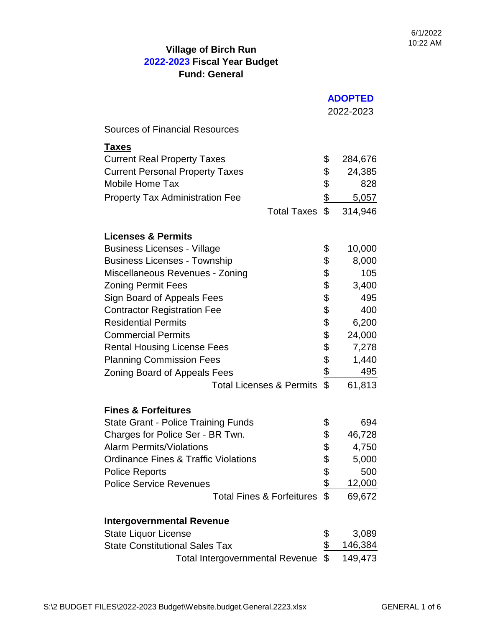|                                                 |               | <b>ADOPTED</b> |  |
|-------------------------------------------------|---------------|----------------|--|
|                                                 |               | 2022-2023      |  |
| <b>Sources of Financial Resources</b>           |               |                |  |
| <u>Taxes</u>                                    |               |                |  |
| <b>Current Real Property Taxes</b>              | \$            | 284,676        |  |
| <b>Current Personal Property Taxes</b>          | \$            | 24,385         |  |
| <b>Mobile Home Tax</b>                          | \$            | 828            |  |
| <b>Property Tax Administration Fee</b>          | $\frac{1}{2}$ | 5,057          |  |
| <b>Total Taxes</b>                              | \$            | 314,946        |  |
| <b>Licenses &amp; Permits</b>                   |               |                |  |
| <b>Business Licenses - Village</b>              | \$            | 10,000         |  |
| <b>Business Licenses - Township</b>             | \$            | 8,000          |  |
| Miscellaneous Revenues - Zoning                 | \$            | 105            |  |
| <b>Zoning Permit Fees</b>                       | \$            | 3,400          |  |
| Sign Board of Appeals Fees                      | \$            | 495            |  |
| <b>Contractor Registration Fee</b>              | \$            | 400            |  |
| <b>Residential Permits</b>                      | \$            | 6,200          |  |
| <b>Commercial Permits</b>                       | \$            | 24,000         |  |
| <b>Rental Housing License Fees</b>              | \$            | 7,278          |  |
| <b>Planning Commission Fees</b>                 | \$            | 1,440          |  |
| <b>Zoning Board of Appeals Fees</b>             | $\frac{1}{2}$ | 495            |  |
| <b>Total Licenses &amp; Permits</b>             | \$            | 61,813         |  |
| <b>Fines &amp; Forfeitures</b>                  |               |                |  |
| <b>State Grant - Police Training Funds</b>      | \$            | 694            |  |
| Charges for Police Ser - BR Twn.                | \$            | 46,728         |  |
| <b>Alarm Permits/Violations</b>                 | \$            | 4,750          |  |
| <b>Ordinance Fines &amp; Traffic Violations</b> | \$            | 5,000          |  |
| <b>Police Reports</b>                           | $\frac{1}{2}$ | 500            |  |
| <b>Police Service Revenues</b>                  |               | 12,000         |  |
| <b>Total Fines &amp; Forfeitures</b>            | \$            | 69,672         |  |
| <b>Intergovernmental Revenue</b>                |               |                |  |
| <b>State Liquor License</b>                     | \$            | 3,089          |  |
| <b>State Constitutional Sales Tax</b>           | $\frac{1}{2}$ | 146,384        |  |
| <b>Total Intergovernmental Revenue</b>          | \$            | 149,473        |  |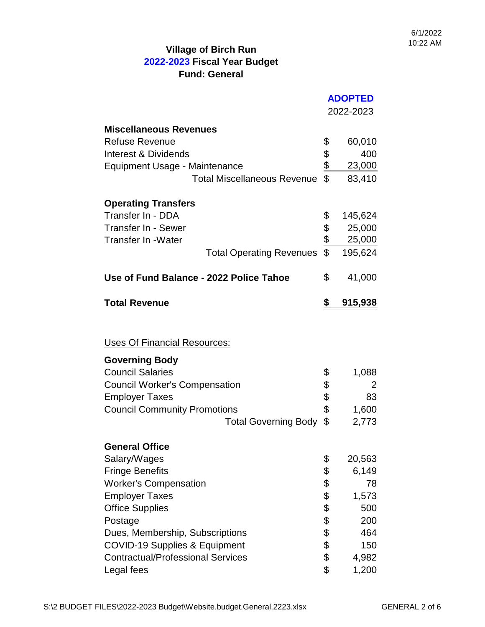|                                          | <b>ADOPTED</b> |                  |
|------------------------------------------|----------------|------------------|
|                                          |                | <u>2022-2023</u> |
| <b>Miscellaneous Revenues</b>            |                |                  |
| <b>Refuse Revenue</b>                    | \$             | 60,010           |
| Interest & Dividends                     |                | 400              |
| Equipment Usage - Maintenance            |                | 23,000           |
| <b>Total Miscellaneous Revenue</b>       | \$199          | 83,410           |
| <b>Operating Transfers</b>               |                |                  |
| Transfer In - DDA                        | \$             | 145,624          |
| Transfer In - Sewer                      |                | 25,000           |
| <b>Transfer In -Water</b>                | $\frac{6}{6}$  | 25,000           |
| <b>Total Operating Revenues</b>          | \$             | 195,624          |
| Use of Fund Balance - 2022 Police Tahoe  | \$             | 41,000           |
| <b>Total Revenue</b>                     | \$             | 915,938          |
| Uses Of Financial Resources:             |                |                  |
|                                          |                |                  |
| <b>Governing Body</b>                    |                |                  |
| <b>Council Salaries</b>                  | \$             | 1,088            |
| <b>Council Worker's Compensation</b>     | \$<br>\$       | 2                |
| <b>Employer Taxes</b>                    |                | 83               |
| <b>Council Community Promotions</b>      | \$             | <u>1,600</u>     |
| <b>Total Governing Body</b>              | \$             | 2,773            |
| <b>General Office</b>                    |                |                  |
| Salary/Wages                             | \$             | 20,563           |
| <b>Fringe Benefits</b>                   | \$             | 6,149            |
| <b>Worker's Compensation</b>             | \$             | 78               |
| <b>Employer Taxes</b>                    | \$             | 1,573            |
| <b>Office Supplies</b>                   | \$             | 500              |
| Postage                                  | \$             | 200              |
| Dues, Membership, Subscriptions          | \$             | 464              |
| <b>COVID-19 Supplies &amp; Equipment</b> | \$<br>\$       | 150              |
| <b>Contractual/Professional Services</b> |                | 4,982            |
| Legal fees                               |                | 1,200            |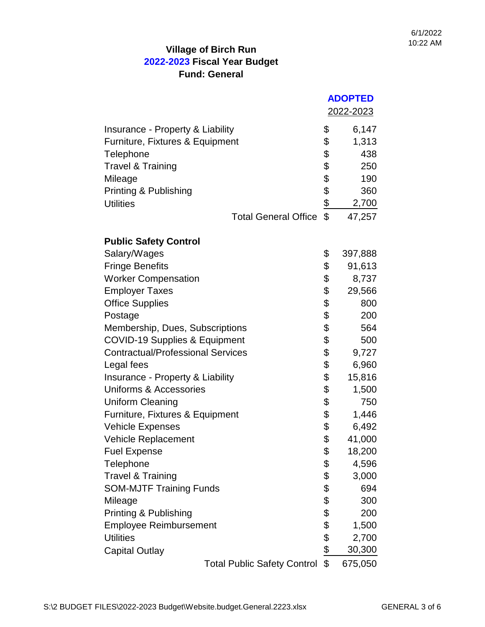|                                          | <b>ADOPTED</b> |           |
|------------------------------------------|----------------|-----------|
|                                          |                | 2022-2023 |
| Insurance - Property & Liability         | \$             | 6,147     |
| Furniture, Fixtures & Equipment          | \$             | 1,313     |
| Telephone                                | \$             | 438       |
| <b>Travel &amp; Training</b>             | \$             | 250       |
| Mileage                                  |                | 190       |
| Printing & Publishing                    |                | 360       |
| <b>Utilities</b>                         | \$\$\$\$       | 2,700     |
| <b>Total General Office</b>              |                | 47,257    |
| <b>Public Safety Control</b>             |                |           |
| Salary/Wages                             | \$             | 397,888   |
| <b>Fringe Benefits</b>                   | \$             | 91,613    |
| <b>Worker Compensation</b>               | \$             | 8,737     |
| <b>Employer Taxes</b>                    | \$             | 29,566    |
| <b>Office Supplies</b>                   | \$             | 800       |
| Postage                                  | \$             | 200       |
| Membership, Dues, Subscriptions          | \$             | 564       |
| <b>COVID-19 Supplies &amp; Equipment</b> | \$             | 500       |
| <b>Contractual/Professional Services</b> | \$             | 9,727     |
| Legal fees                               | \$             | 6,960     |
| Insurance - Property & Liability         | \$             | 15,816    |
| Uniforms & Accessories                   | \$             | 1,500     |
| <b>Uniform Cleaning</b>                  | \$             | 750       |
| Furniture, Fixtures & Equipment          | \$             | 1,446     |
| <b>Vehicle Expenses</b>                  | \$             | 6,492     |
| <b>Vehicle Replacement</b>               | \$             | 41,000    |
| <b>Fuel Expense</b>                      | \$             | 18,200    |
| Telephone                                | \$             | 4,596     |
| <b>Travel &amp; Training</b>             | \$             | 3,000     |
| <b>SOM-MJTF Training Funds</b>           | \$             | 694       |
| Mileage                                  | \$             | 300       |
| Printing & Publishing                    | \$             | 200       |
| <b>Employee Reimbursement</b>            | \$             | 1,500     |
| <b>Utilities</b>                         | $\frac{6}{6}$  | 2,700     |
| <b>Capital Outlay</b>                    |                | 30,300    |
| <b>Total Public Safety Control</b>       | \$             | 675,050   |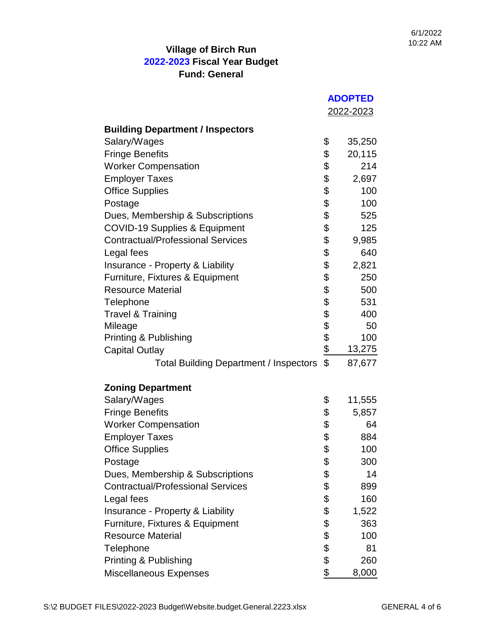|                                               | <b>ADOPTED</b> |           |
|-----------------------------------------------|----------------|-----------|
|                                               |                | 2022-2023 |
| <b>Building Department / Inspectors</b>       |                |           |
| Salary/Wages                                  | \$             | 35,250    |
| <b>Fringe Benefits</b>                        | \$             | 20,115    |
| <b>Worker Compensation</b>                    | \$             | 214       |
| <b>Employer Taxes</b>                         | \$             | 2,697     |
| <b>Office Supplies</b>                        | \$             | 100       |
| Postage                                       | \$             | 100       |
| Dues, Membership & Subscriptions              | \$             | 525       |
| <b>COVID-19 Supplies &amp; Equipment</b>      | \$             | 125       |
| <b>Contractual/Professional Services</b>      | \$             | 9,985     |
| Legal fees                                    | \$             | 640       |
| Insurance - Property & Liability              | \$             | 2,821     |
| Furniture, Fixtures & Equipment               | \$             | 250       |
| <b>Resource Material</b>                      | \$             | 500       |
| Telephone                                     |                | 531       |
| <b>Travel &amp; Training</b>                  |                | 400       |
| Mileage                                       |                | 50        |
| Printing & Publishing                         |                | 100       |
| <b>Capital Outlay</b>                         | 88888          | 13,275    |
| <b>Total Building Department / Inspectors</b> | \$             | 87,677    |
| <b>Zoning Department</b>                      |                |           |
| Salary/Wages                                  | \$             | 11,555    |
| <b>Fringe Benefits</b>                        | \$             | 5,857     |
| <b>Worker Compensation</b>                    | \$             | 64        |
| <b>Employer Taxes</b>                         | \$             | 884       |
| <b>Office Supplies</b>                        | \$             | 100       |
| Postage                                       | \$             | 300       |
| Dues, Membership & Subscriptions              | \$             | 14        |
| <b>Contractual/Professional Services</b>      | \$             | 899       |
| Legal fees                                    | \$             | 160       |
| Insurance - Property & Liability              | \$             | 1,522     |
| Furniture, Fixtures & Equipment               | \$             | 363       |
| <b>Resource Material</b>                      | \$             | 100       |
| Telephone                                     | \$             | 81        |
| Printing & Publishing                         | \$             | 260       |
| Miscellaneous Expenses                        | \$             | 8,000     |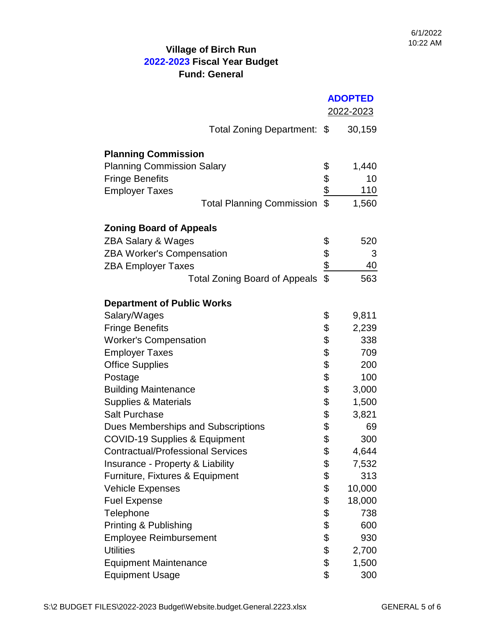|                                          | <b>ADOPTED</b>   |        |
|------------------------------------------|------------------|--------|
|                                          | <u>2022-2023</u> |        |
| Total Zoning Department: \$              |                  | 30,159 |
|                                          |                  |        |
| <b>Planning Commission</b>               |                  |        |
| <b>Planning Commission Salary</b>        | \$               | 1,440  |
| <b>Fringe Benefits</b>                   |                  | 10     |
| <b>Employer Taxes</b>                    | $\frac{6}{3}$    | 110    |
| <b>Total Planning Commission</b>         |                  | 1,560  |
| <b>Zoning Board of Appeals</b>           |                  |        |
| <b>ZBA Salary &amp; Wages</b>            | \$               | 520    |
| <b>ZBA Worker's Compensation</b>         |                  | 3      |
| <b>ZBA Employer Taxes</b>                |                  | 40     |
| <b>Total Zoning Board of Appeals</b>     | \$199            | 563    |
|                                          |                  |        |
| <b>Department of Public Works</b>        |                  |        |
| Salary/Wages                             | \$               | 9,811  |
| <b>Fringe Benefits</b>                   | \$               | 2,239  |
| <b>Worker's Compensation</b>             | \$               | 338    |
| <b>Employer Taxes</b>                    | \$               | 709    |
| <b>Office Supplies</b>                   | \$               | 200    |
| Postage                                  | \$               | 100    |
| <b>Building Maintenance</b>              | \$               | 3,000  |
| Supplies & Materials                     | \$               | 1,500  |
| <b>Salt Purchase</b>                     | \$               | 3,821  |
| Dues Memberships and Subscriptions       | \$               | 69     |
| <b>COVID-19 Supplies &amp; Equipment</b> | \$               | 300    |
| <b>Contractual/Professional Services</b> | \$               | 4,644  |
| Insurance - Property & Liability         | \$               | 7,532  |
| Furniture, Fixtures & Equipment          | \$               | 313    |
| <b>Vehicle Expenses</b>                  | \$               | 10,000 |
| <b>Fuel Expense</b>                      | \$               | 18,000 |
| Telephone                                | \$               | 738    |
| Printing & Publishing                    | \$               | 600    |
| <b>Employee Reimbursement</b>            | \$               | 930    |
| <b>Utilities</b>                         | \$               | 2,700  |
| <b>Equipment Maintenance</b>             | \$               | 1,500  |
| <b>Equipment Usage</b>                   | \$               | 300    |